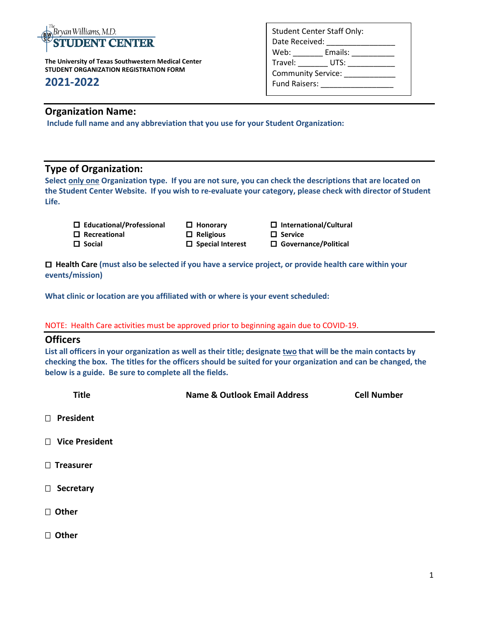

**The University of Texas Southwestern Medical Center STUDENT ORGANIZATION REGISTRATION FORM** 

# **2021-2022**

### **Organization Name:**

**Include full name and any abbreviation that you use for your Student Organization:**

# **Type of Organization:**

**Select only one Organization type. If you are not sure, you can check the descriptions that are located on the Student Center Website. If you wish to re-evaluate your category, please check with director of Student Life.**

| $\Box$ Educational/Professional | $\Box$ Honorary   |
|---------------------------------|-------------------|
| $\Box$ Recreational             | $\Box$ Religious  |
| $\Box$ Social                   | $\Box$ Special In |

 $\Box$  International/Cultural  $\Box$  Service  **Social** Interest **B** Governance/Political

 **Health Care (must also be selected if you have a service project, or provide health care within your events/mission)**

**What clinic or location are you affiliated with or where is your event scheduled:**

#### NOTE: Health Care activities must be approved prior to beginning again due to COVID-19.

#### **Officers**

**List all officers in your organization as well as their title; designate two that will be the main contacts by checking the box. The titles for the officers should be suited for your organization and can be changed, the below is a guide. Be sure to complete all the fields.** 

| <b>Title</b>     | <b>Name &amp; Outlook Email Address</b> | <b>Cell Number</b> |
|------------------|-----------------------------------------|--------------------|
| □ President      |                                         |                    |
| □ Vice President |                                         |                    |
| $\Box$ Treasurer |                                         |                    |
| □ Secretary      |                                         |                    |
| □ Other          |                                         |                    |
| □ Other          |                                         |                    |
|                  |                                         |                    |

| <b>Student Center Staff Only:</b> |                      |  |  |
|-----------------------------------|----------------------|--|--|
| Date Received:                    |                      |  |  |
| Web:                              | Emails:              |  |  |
| Travel:                           | UTS: $\qquad \qquad$ |  |  |
| <b>Community Service:</b>         |                      |  |  |
| <b>Fund Raisers:</b>              |                      |  |  |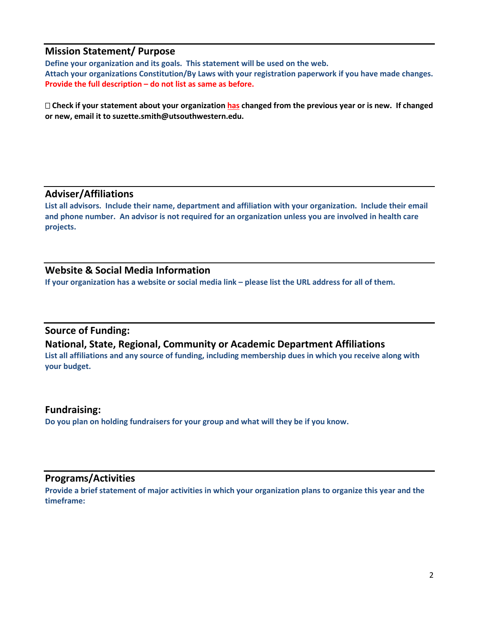## **Mission Statement/ Purpose**

**Define your organization and its goals. This statement will be used on the web. Attach your organizations Constitution/By Laws with your registration paperwork if you have made changes. Provide the full description – do not list as same as before.**

 **Check if your statement about your organization has changed from the previous year or is new. If changed or new, email it to suzette.smith@utsouthwestern.edu.**

### **Adviser/Affiliations**

**List all advisors. Include their name, department and affiliation with your organization. Include their email and phone number. An advisor is not required for an organization unless you are involved in health care projects.**

## **Website & Social Media Information**

**If your organization has a website or social media link – please list the URL address for all of them.** 

## **Source of Funding:**

## **National, State, Regional, Community or Academic Department Affiliations**

**List all affiliations and any source of funding, including membership dues in which you receive along with your budget.** 

#### **Fundraising:**

**Do you plan on holding fundraisers for your group and what will they be if you know.**

# **Programs/Activities**

**Provide a brief statement of major activities in which your organization plans to organize this year and the timeframe:**